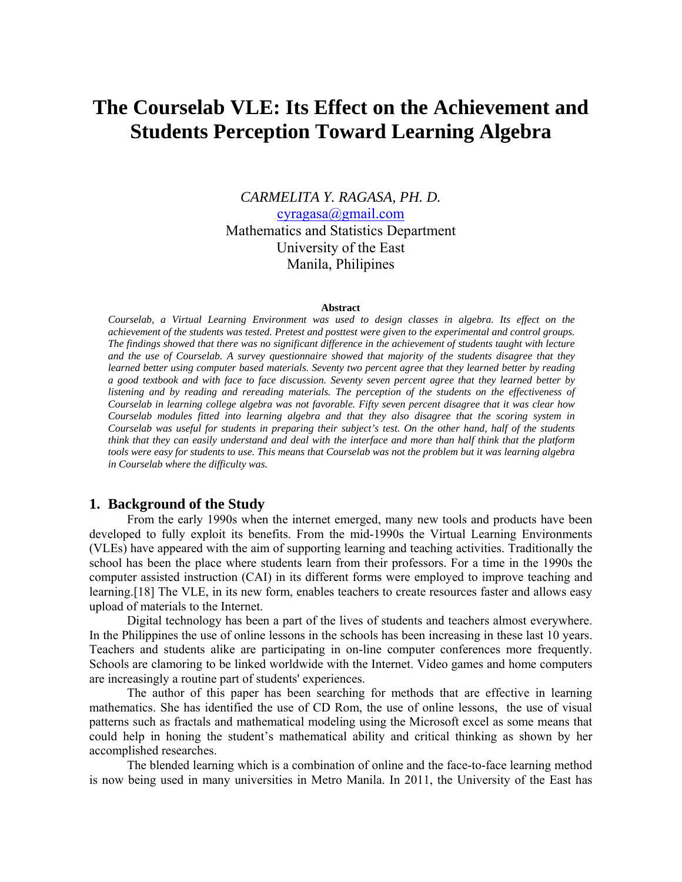# **The Courselab VLE: Its Effect on the Achievement and Students Perception Toward Learning Algebra**

*CARMELITA Y. RAGASA, PH. D.*  cyragasa@gmail.com Mathematics and Statistics Department University of the East Manila, Philipines

#### **Abstract**

*Courselab, a Virtual Learning Environment was used to design classes in algebra. Its effect on the achievement of the students was tested. Pretest and posttest were given to the experimental and control groups. The findings showed that there was no significant difference in the achievement of students taught with lecture and the use of Courselab. A survey questionnaire showed that majority of the students disagree that they learned better using computer based materials. Seventy two percent agree that they learned better by reading a good textbook and with face to face discussion. Seventy seven percent agree that they learned better by listening and by reading and rereading materials. The perception of the students on the effectiveness of Courselab in learning college algebra was not favorable. Fifty seven percent disagree that it was clear how Courselab modules fitted into learning algebra and that they also disagree that the scoring system in Courselab was useful for students in preparing their subject's test. On the other hand, half of the students think that they can easily understand and deal with the interface and more than half think that the platform tools were easy for students to use. This means that Courselab was not the problem but it was learning algebra in Courselab where the difficulty was.* 

## **1. Background of the Study**

From the early 1990s when the internet emerged, many new tools and products have been developed to fully exploit its benefits. From the mid-1990s the Virtual Learning Environments (VLEs) have appeared with the aim of supporting learning and teaching activities. Traditionally the school has been the place where students learn from their professors. For a time in the 1990s the computer assisted instruction (CAI) in its different forms were employed to improve teaching and learning.[18] The VLE, in its new form, enables teachers to create resources faster and allows easy upload of materials to the Internet.

Digital technology has been a part of the lives of students and teachers almost everywhere. In the Philippines the use of online lessons in the schools has been increasing in these last 10 years. Teachers and students alike are participating in on-line computer conferences more frequently. Schools are clamoring to be linked worldwide with the Internet. Video games and home computers are increasingly a routine part of students' experiences.

The author of this paper has been searching for methods that are effective in learning mathematics. She has identified the use of CD Rom, the use of online lessons, the use of visual patterns such as fractals and mathematical modeling using the Microsoft excel as some means that could help in honing the student's mathematical ability and critical thinking as shown by her accomplished researches.

The blended learning which is a combination of online and the face-to-face learning method is now being used in many universities in Metro Manila. In 2011, the University of the East has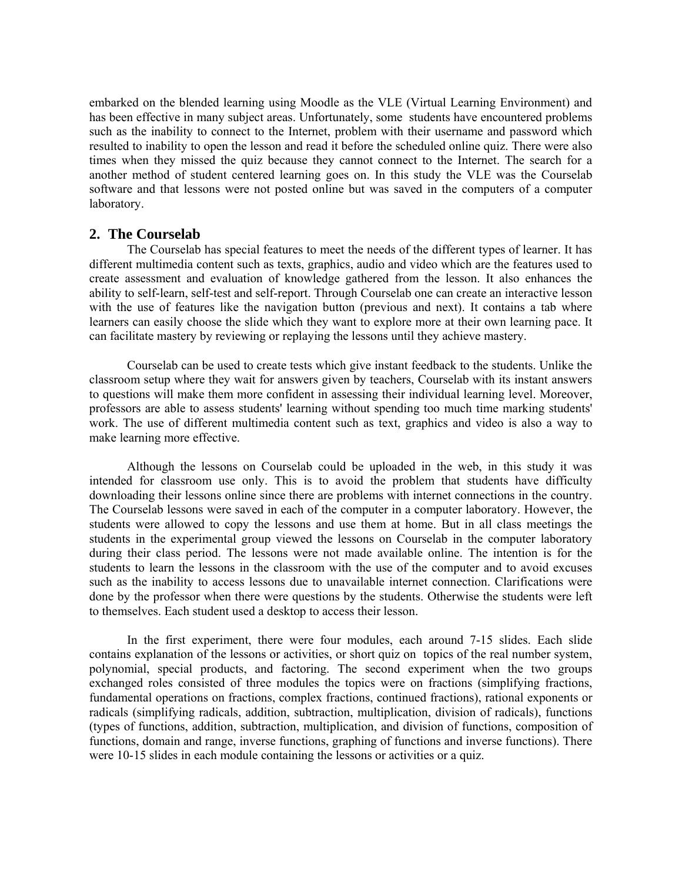embarked on the blended learning using Moodle as the VLE (Virtual Learning Environment) and has been effective in many subject areas. Unfortunately, some students have encountered problems such as the inability to connect to the Internet, problem with their username and password which resulted to inability to open the lesson and read it before the scheduled online quiz. There were also times when they missed the quiz because they cannot connect to the Internet. The search for a another method of student centered learning goes on. In this study the VLE was the Courselab software and that lessons were not posted online but was saved in the computers of a computer laboratory.

#### **2. The Courselab**

The Courselab has special features to meet the needs of the different types of learner. It has different multimedia content such as texts, graphics, audio and video which are the features used to create assessment and evaluation of knowledge gathered from the lesson. It also enhances the ability to self-learn, self-test and self-report. Through Courselab one can create an interactive lesson with the use of features like the navigation button (previous and next). It contains a tab where learners can easily choose the slide which they want to explore more at their own learning pace. It can facilitate mastery by reviewing or replaying the lessons until they achieve mastery.

Courselab can be used to create tests which give instant feedback to the students. Unlike the classroom setup where they wait for answers given by teachers, Courselab with its instant answers to questions will make them more confident in assessing their individual learning level. Moreover, professors are able to assess students' learning without spending too much time marking students' work. The use of different multimedia content such as text, graphics and video is also a way to make learning more effective.

Although the lessons on Courselab could be uploaded in the web, in this study it was intended for classroom use only. This is to avoid the problem that students have difficulty downloading their lessons online since there are problems with internet connections in the country. The Courselab lessons were saved in each of the computer in a computer laboratory. However, the students were allowed to copy the lessons and use them at home. But in all class meetings the students in the experimental group viewed the lessons on Courselab in the computer laboratory during their class period. The lessons were not made available online. The intention is for the students to learn the lessons in the classroom with the use of the computer and to avoid excuses such as the inability to access lessons due to unavailable internet connection. Clarifications were done by the professor when there were questions by the students. Otherwise the students were left to themselves. Each student used a desktop to access their lesson.

In the first experiment, there were four modules, each around 7-15 slides. Each slide contains explanation of the lessons or activities, or short quiz on topics of the real number system, polynomial, special products, and factoring. The second experiment when the two groups exchanged roles consisted of three modules the topics were on fractions (simplifying fractions, fundamental operations on fractions, complex fractions, continued fractions), rational exponents or radicals (simplifying radicals, addition, subtraction, multiplication, division of radicals), functions (types of functions, addition, subtraction, multiplication, and division of functions, composition of functions, domain and range, inverse functions, graphing of functions and inverse functions). There were 10-15 slides in each module containing the lessons or activities or a quiz.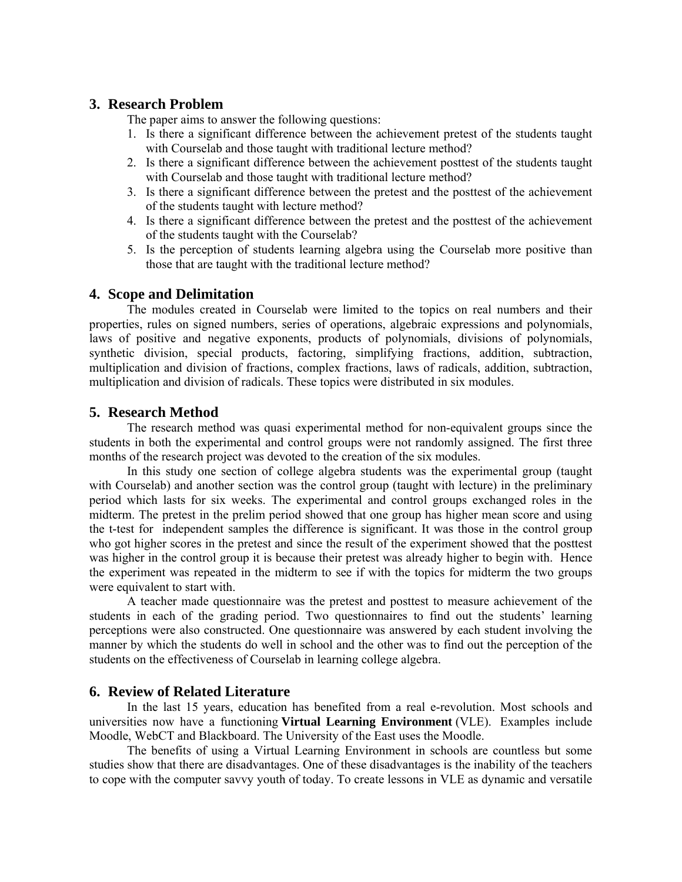## **3. Research Problem**

The paper aims to answer the following questions:

- 1. Is there a significant difference between the achievement pretest of the students taught with Courselab and those taught with traditional lecture method?
- 2. Is there a significant difference between the achievement posttest of the students taught with Courselab and those taught with traditional lecture method?
- 3. Is there a significant difference between the pretest and the posttest of the achievement of the students taught with lecture method?
- 4. Is there a significant difference between the pretest and the posttest of the achievement of the students taught with the Courselab?
- 5. Is the perception of students learning algebra using the Courselab more positive than those that are taught with the traditional lecture method?

#### **4. Scope and Delimitation**

The modules created in Courselab were limited to the topics on real numbers and their properties, rules on signed numbers, series of operations, algebraic expressions and polynomials, laws of positive and negative exponents, products of polynomials, divisions of polynomials, synthetic division, special products, factoring, simplifying fractions, addition, subtraction, multiplication and division of fractions, complex fractions, laws of radicals, addition, subtraction, multiplication and division of radicals. These topics were distributed in six modules.

#### **5. Research Method**

The research method was quasi experimental method for non-equivalent groups since the students in both the experimental and control groups were not randomly assigned. The first three months of the research project was devoted to the creation of the six modules.

In this study one section of college algebra students was the experimental group (taught with Courselab) and another section was the control group (taught with lecture) in the preliminary period which lasts for six weeks. The experimental and control groups exchanged roles in the midterm. The pretest in the prelim period showed that one group has higher mean score and using the t-test for independent samples the difference is significant. It was those in the control group who got higher scores in the pretest and since the result of the experiment showed that the posttest was higher in the control group it is because their pretest was already higher to begin with. Hence the experiment was repeated in the midterm to see if with the topics for midterm the two groups were equivalent to start with.

A teacher made questionnaire was the pretest and posttest to measure achievement of the students in each of the grading period. Two questionnaires to find out the students' learning perceptions were also constructed. One questionnaire was answered by each student involving the manner by which the students do well in school and the other was to find out the perception of the students on the effectiveness of Courselab in learning college algebra.

### **6. Review of Related Literature**

In the last 15 years, education has benefited from a real e-revolution. Most schools and universities now have a functioning **Virtual Learning Environment** (VLE). Examples include Moodle, WebCT and Blackboard. The University of the East uses the Moodle.

The benefits of using a Virtual Learning Environment in schools are countless but some studies show that there are disadvantages. One of these disadvantages is the inability of the teachers to cope with the computer savvy youth of today. To create lessons in VLE as dynamic and versatile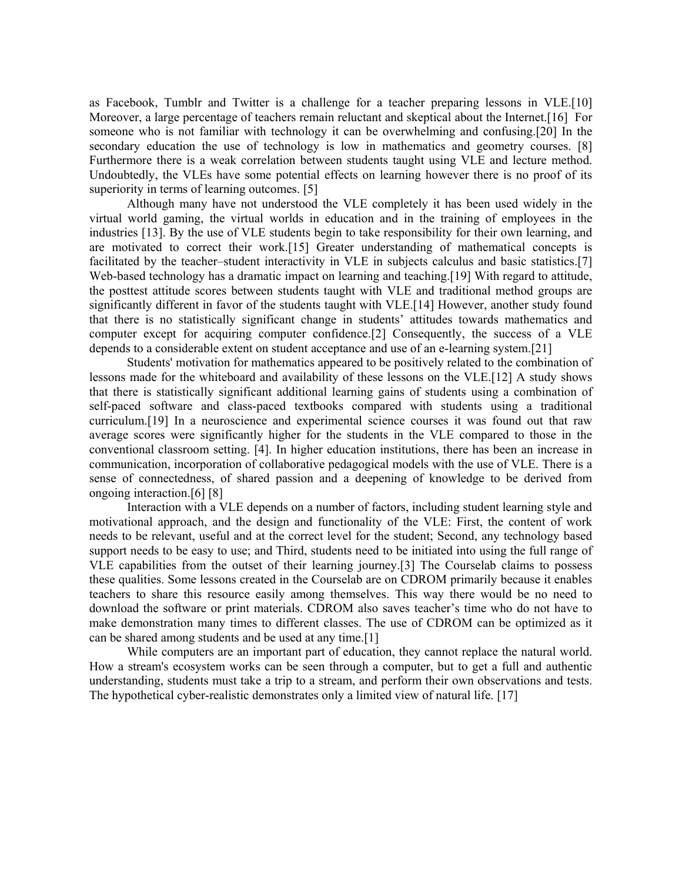as Facebook, Tumblr and Twitter is a challenge for a teacher preparing lessons in VLE.[10] Moreover, a large percentage of teachers remain reluctant and skeptical about the Internet.[16] For someone who is not familiar with technology it can be overwhelming and confusing.[20] In the secondary education the use of technology is low in mathematics and geometry courses. [8] Furthermore there is a weak correlation between students taught using VLE and lecture method. Undoubtedly, the VLEs have some potential effects on learning however there is no proof of its superiority in terms of learning outcomes. [5]

Although many have not understood the VLE completely it has been used widely in the virtual world gaming, the virtual worlds in education and in the training of employees in the industries [13]. By the use of VLE students begin to take responsibility for their own learning, and are motivated to correct their work.[15] Greater understanding of mathematical concepts is facilitated by the teacher–student interactivity in VLE in subjects calculus and basic statistics.[7] Web-based technology has a dramatic impact on learning and teaching.[19] With regard to attitude, the posttest attitude scores between students taught with VLE and traditional method groups are significantly different in favor of the students taught with VLE.[14] However, another study found that there is no statistically significant change in students' attitudes towards mathematics and computer except for acquiring computer confidence.[2] Consequently, the success of a VLE depends to a considerable extent on student acceptance and use of an e-learning system.[21]

Students' motivation for mathematics appeared to be positively related to the combination of lessons made for the whiteboard and availability of these lessons on the VLE.[12] A study shows that there is statistically significant additional learning gains of students using a combination of self-paced software and class-paced textbooks compared with students using a traditional curriculum.[19] In a neuroscience and experimental science courses it was found out that raw average scores were significantly higher for the students in the VLE compared to those in the conventional classroom setting. [4]. In higher education institutions, there has been an increase in communication, incorporation of collaborative pedagogical models with the use of VLE. There is a sense of connectedness, of shared passion and a deepening of knowledge to be derived from ongoing interaction.[6] [8]

Interaction with a VLE depends on a number of factors, including student learning style and motivational approach, and the design and functionality of the VLE: First, the content of work needs to be relevant, useful and at the correct level for the student; Second, any technology based support needs to be easy to use; and Third, students need to be initiated into using the full range of VLE capabilities from the outset of their learning journey.[3] The Courselab claims to possess these qualities. Some lessons created in the Courselab are on CDROM primarily because it enables teachers to share this resource easily among themselves. This way there would be no need to download the software or print materials. CDROM also saves teacher's time who do not have to make demonstration many times to different classes. The use of CDROM can be optimized as it can be shared among students and be used at any time.[1]

While computers are an important part of education, they cannot replace the natural world. How a stream's ecosystem works can be seen through a computer, but to get a full and authentic understanding, students must take a trip to a stream, and perform their own observations and tests. The hypothetical cyber-realistic demonstrates only a limited view of natural life. [17]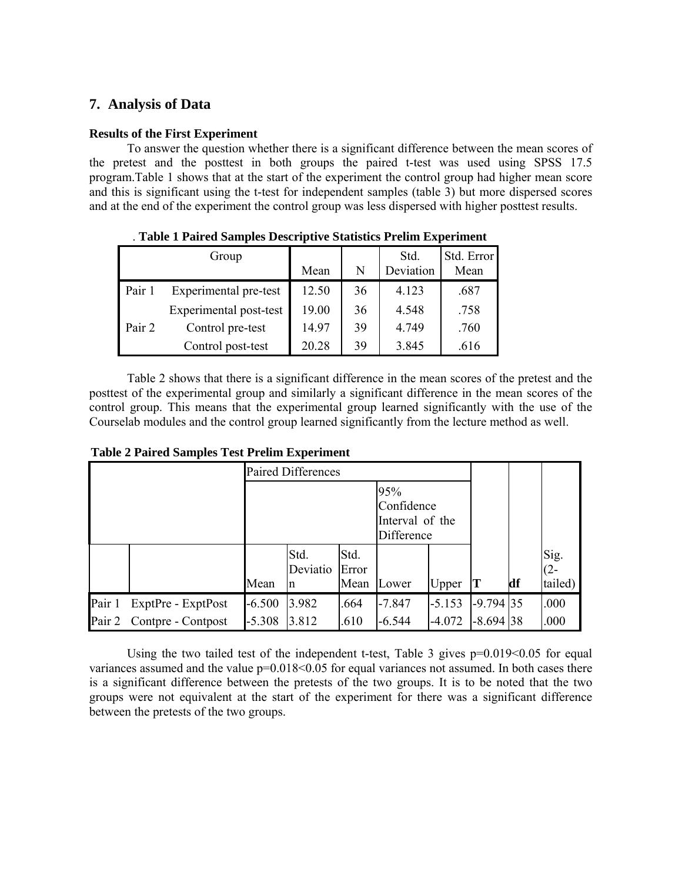## **7. Analysis of Data**

## **Results of the First Experiment**

To answer the question whether there is a significant difference between the mean scores of the pretest and the posttest in both groups the paired t-test was used using SPSS 17.5 program.Table 1 shows that at the start of the experiment the control group had higher mean score and this is significant using the t-test for independent samples (table 3) but more dispersed scores and at the end of the experiment the control group was less dispersed with higher posttest results.

|        | Group                  | Mean  | N  | Std.<br>Deviation | Std. Error<br>Mean |
|--------|------------------------|-------|----|-------------------|--------------------|
| Pair 1 | Experimental pre-test  | 12.50 | 36 | 4.123             | .687               |
|        | Experimental post-test | 19.00 | 36 | 4.548             | .758               |
| Pair 2 | Control pre-test       | 14.97 | 39 | 4.749             | .760               |
|        | Control post-test      | 20.28 | 39 | 3.845             | .616               |

. **Table 1 Paired Samples Descriptive Statistics Prelim Experiment**

Table 2 shows that there is a significant difference in the mean scores of the pretest and the posttest of the experimental group and similarly a significant difference in the mean scores of the control group. This means that the experimental group learned significantly with the use of the Courselab modules and the control group learned significantly from the lecture method as well.

|        |                           |                                                    | <b>Paired Differences</b> |                       |          |          |             |    |                           |
|--------|---------------------------|----------------------------------------------------|---------------------------|-----------------------|----------|----------|-------------|----|---------------------------|
|        |                           | 95%<br>Confidence<br>Interval of the<br>Difference |                           |                       |          |          |             |    |                           |
|        |                           | Mean                                               | Std.<br>Deviatio<br>n     | Std.<br>Error<br>Mean | Lower    | Upper    |             | df | Sig.<br>$(2 -$<br>tailed) |
| Pair 1 | ExptPre - ExptPost        | $-6.500$                                           | 3.982                     | .664                  | $-7.847$ | $-5.153$ | $-9.794$ 35 |    | .000                      |
|        | Pair 2 Contpre - Contpost | $-5.308$                                           | 3.812                     | .610                  | $-6.544$ | $-4.072$ | $-8.694$ 38 |    | .000                      |

**Table 2 Paired Samples Test Prelim Experiment**

Using the two tailed test of the independent t-test, Table 3 gives  $p=0.019<0.05$  for equal variances assumed and the value p=0.018<0.05 for equal variances not assumed. In both cases there is a significant difference between the pretests of the two groups. It is to be noted that the two groups were not equivalent at the start of the experiment for there was a significant difference between the pretests of the two groups.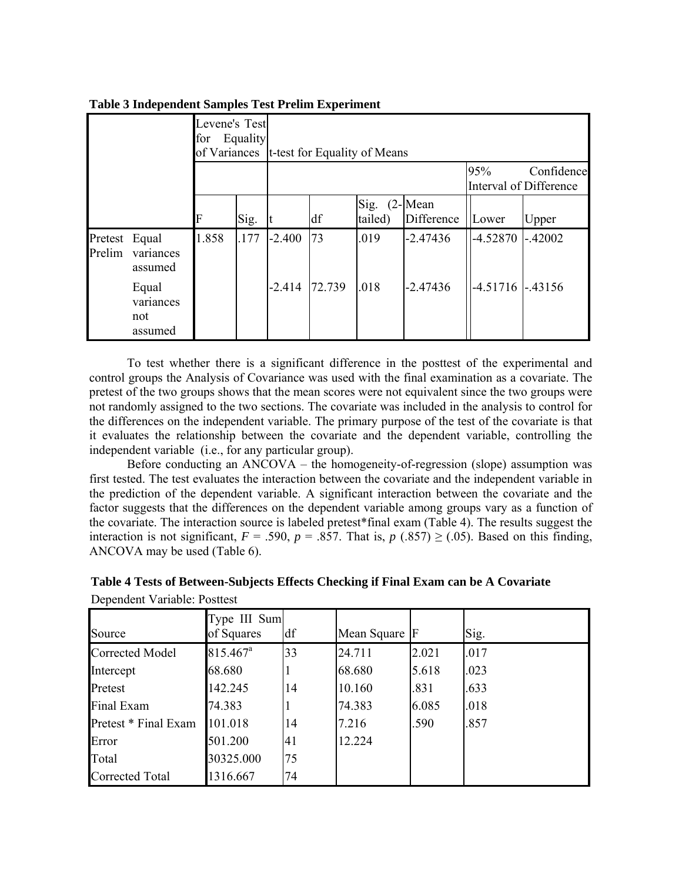|                   |                                      | Levene's Test<br>for<br>of Variances | Equality |          | t-test for Equality of Means | 95%             | Confidence               |                        |           |
|-------------------|--------------------------------------|--------------------------------------|----------|----------|------------------------------|-----------------|--------------------------|------------------------|-----------|
|                   |                                      |                                      |          |          |                              |                 |                          | Interval of Difference |           |
|                   |                                      | F                                    | Sig.     | It       | df                           | Sig.<br>tailed) | $(2$ -Mean<br>Difference | Lower                  | Upper     |
| Pretest<br>Prelim | Equal<br>variances<br>assumed        | 1.858                                | .177     | $-2.400$ | 73                           | .019            | $-2.47436$               | $-4.52870$             | $-.42002$ |
|                   | Equal<br>variances<br>not<br>assumed |                                      |          | $-2.414$ | 72.739                       | .018            | $-2.47436$               | $-4.51716$             | $-.43156$ |

## **Table 3 Independent Samples Test Prelim Experiment**

To test whether there is a significant difference in the posttest of the experimental and control groups the Analysis of Covariance was used with the final examination as a covariate. The pretest of the two groups shows that the mean scores were not equivalent since the two groups were not randomly assigned to the two sections. The covariate was included in the analysis to control for the differences on the independent variable. The primary purpose of the test of the covariate is that it evaluates the relationship between the covariate and the dependent variable, controlling the independent variable (i.e., for any particular group).

Before conducting an ANCOVA – the homogeneity-of-regression (slope) assumption was first tested. The test evaluates the interaction between the covariate and the independent variable in the prediction of the dependent variable. A significant interaction between the covariate and the factor suggests that the differences on the dependent variable among groups vary as a function of the covariate. The interaction source is labeled pretest\*final exam (Table 4). The results suggest the interaction is not significant,  $F = .590$ ,  $p = .857$ . That is,  $p(.857) \ge .05$ ). Based on this finding, ANCOVA may be used (Table 6).

| Source               | Type III Sum<br>of Squares | df | Mean Square F |       | Sig. |
|----------------------|----------------------------|----|---------------|-------|------|
| Corrected Model      | $815.467$ <sup>a</sup>     | 33 | 24.711        | 2.021 | .017 |
| Intercept            | 68.680                     |    | 68.680        | 5.618 | .023 |
| Pretest              | 142.245                    | 14 | 10.160        | .831  | .633 |
| Final Exam           | 74.383                     |    | 74.383        | 6.085 | .018 |
| Pretest * Final Exam | 101.018                    | 14 | 7.216         | .590  | .857 |
| Error                | 501.200                    | 41 | 12.224        |       |      |
| Total                | 30325.000                  | 75 |               |       |      |
| Corrected Total      | 1316.667                   | 74 |               |       |      |

**Table 4 Tests of Between-Subjects Effects Checking if Final Exam can be A Covariate** Dependent Variable: Posttest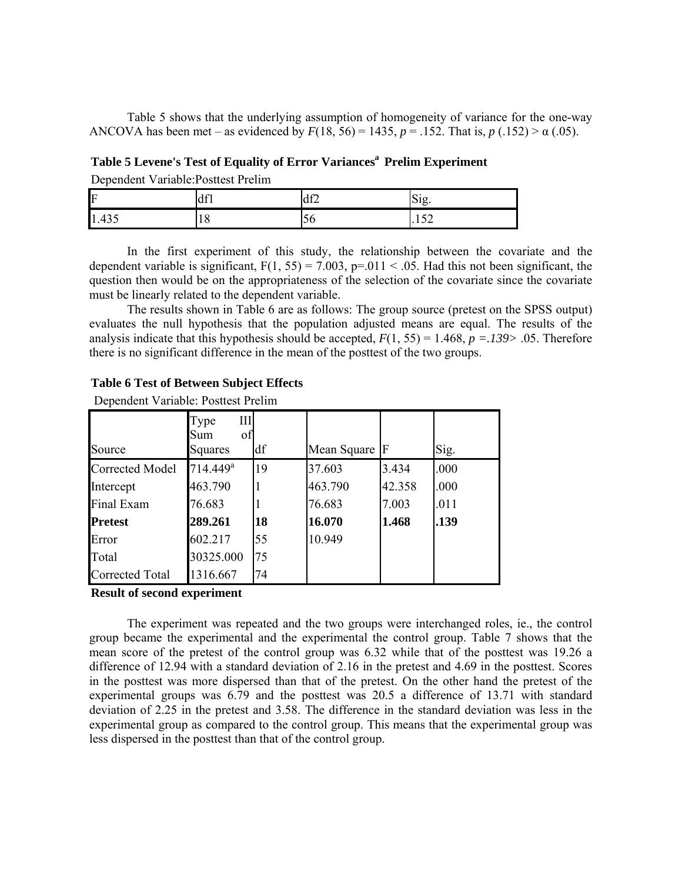Table 5 shows that the underlying assumption of homogeneity of variance for the one-way ANCOVA has been met – as evidenced by  $F(18, 56) = 1435$ ,  $p = .152$ . That is,  $p(.152) > \alpha(.05)$ .

Table 5 Levene's Test of Equality of Error Variances<sup>a</sup> Prelim Experiment Dependent Variable:Posttest Prelim

| F     | $4f^*$<br>iuli. | df2 | $\sim$<br>$\sim$<br>DIE. |
|-------|-----------------|-----|--------------------------|
| 1.435 | $\circ$<br>10   | υv  | $\sim$ $\sim$<br>.104    |

In the first experiment of this study, the relationship between the covariate and the dependent variable is significant,  $F(1, 55) = 7.003$ ,  $p = .011 < .05$ . Had this not been significant, the question then would be on the appropriateness of the selection of the covariate since the covariate must be linearly related to the dependent variable.

The results shown in Table 6 are as follows: The group source (pretest on the SPSS output) evaluates the null hypothesis that the population adjusted means are equal. The results of the analysis indicate that this hypothesis should be accepted,  $F(1, 55) = 1.468$ ,  $p = .139$ > .05. Therefore there is no significant difference in the mean of the posttest of the two groups.

|                        | III<br>Type<br>Sum<br>of |    |               |        |      |
|------------------------|--------------------------|----|---------------|--------|------|
| Source                 | Squares                  | df | Mean Square F |        | Sig. |
| <b>Corrected Model</b> | $714.449$ <sup>a</sup>   | 19 | 37.603        | 3.434  | .000 |
| Intercept              | 463.790                  |    | 463.790       | 42.358 | .000 |
| Final Exam             | 76.683                   |    | 76.683        | 7.003  | .011 |
| <b>Pretest</b>         | 289.261                  | 18 | 16.070        | 1.468  | .139 |
| Error                  | 602.217                  | 55 | 10.949        |        |      |
| Total                  | 30325.000                | 75 |               |        |      |
| Corrected Total        | 1316.667                 | 74 |               |        |      |

#### **Table 6 Test of Between Subject Effects**

Dependent Variable: Posttest Prelim

#### **Result of second experiment**

The experiment was repeated and the two groups were interchanged roles, ie., the control group became the experimental and the experimental the control group. Table 7 shows that the mean score of the pretest of the control group was 6.32 while that of the posttest was 19.26 a difference of 12.94 with a standard deviation of 2.16 in the pretest and 4.69 in the posttest. Scores in the posttest was more dispersed than that of the pretest. On the other hand the pretest of the experimental groups was 6.79 and the posttest was 20.5 a difference of 13.71 with standard deviation of 2.25 in the pretest and 3.58. The difference in the standard deviation was less in the experimental group as compared to the control group. This means that the experimental group was less dispersed in the posttest than that of the control group.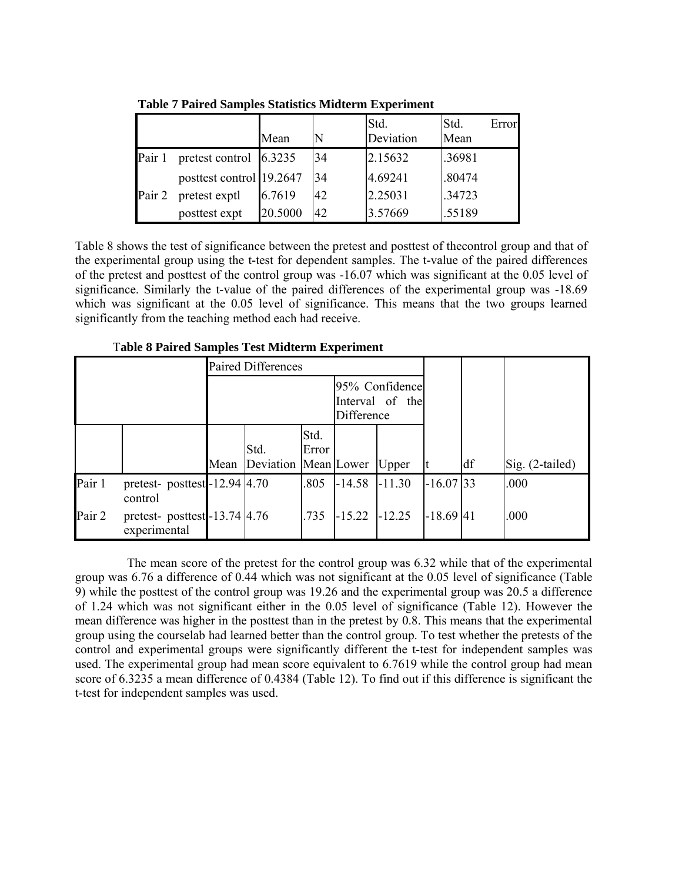|        |                          | Mean    |    | Std.<br>Deviation | Std.<br>Error<br>Mean |
|--------|--------------------------|---------|----|-------------------|-----------------------|
| Pair 1 | pretest control 6.3235   |         | 34 | 2.15632           | .36981                |
|        | posttest control 19.2647 |         | 34 | 4.69241           | .80474                |
| Pair 2 | pretest exptl            | 6.7619  | 42 | 2.25031           | .34723                |
|        | posttest expt            | 20.5000 | 42 | 3.57669           | .55189                |

**Table 7 Paired Samples Statistics Midterm Experiment**

Table 8 shows the test of significance between the pretest and posttest of thecontrol group and that of the experimental group using the t-test for dependent samples. The t-value of the paired differences of the pretest and posttest of the control group was -16.07 which was significant at the 0.05 level of significance. Similarly the t-value of the paired differences of the experimental group was -18.69 which was significant at the 0.05 level of significance. This means that the two groups learned significantly from the teaching method each had receive.

T**able 8 Paired Samples Test Midterm Experiment**

|                                                       |                                        |      | <b>Paired Differences</b>    |               |                                                 |          |             |    |                 |
|-------------------------------------------------------|----------------------------------------|------|------------------------------|---------------|-------------------------------------------------|----------|-------------|----|-----------------|
|                                                       |                                        |      |                              |               | 95% Confidence<br>Interval of the<br>Difference |          |             |    |                 |
|                                                       |                                        | Mean | Std.<br>Deviation Mean Lower | Std.<br>Error |                                                 | Upper    |             | df | Sig. (2-tailed) |
| Pair 1                                                | pretest-posttest-12.94 4.70<br>control |      |                              | .805          | $-14.58$                                        | $-11.30$ | $-16.07$ 33 |    | .000            |
| Pair 2<br>pretest-posttest-13.74 4.76<br>experimental |                                        |      |                              | .735          | $-15.22$ $-12.25$                               |          | $-18.69$ 41 |    | .000            |

The mean score of the pretest for the control group was 6.32 while that of the experimental group was 6.76 a difference of 0.44 which was not significant at the 0.05 level of significance (Table 9) while the posttest of the control group was 19.26 and the experimental group was 20.5 a difference of 1.24 which was not significant either in the 0.05 level of significance (Table 12). However the mean difference was higher in the posttest than in the pretest by 0.8. This means that the experimental group using the courselab had learned better than the control group. To test whether the pretests of the control and experimental groups were significantly different the t-test for independent samples was used. The experimental group had mean score equivalent to 6.7619 while the control group had mean score of 6.3235 a mean difference of 0.4384 (Table 12). To find out if this difference is significant the t-test for independent samples was used.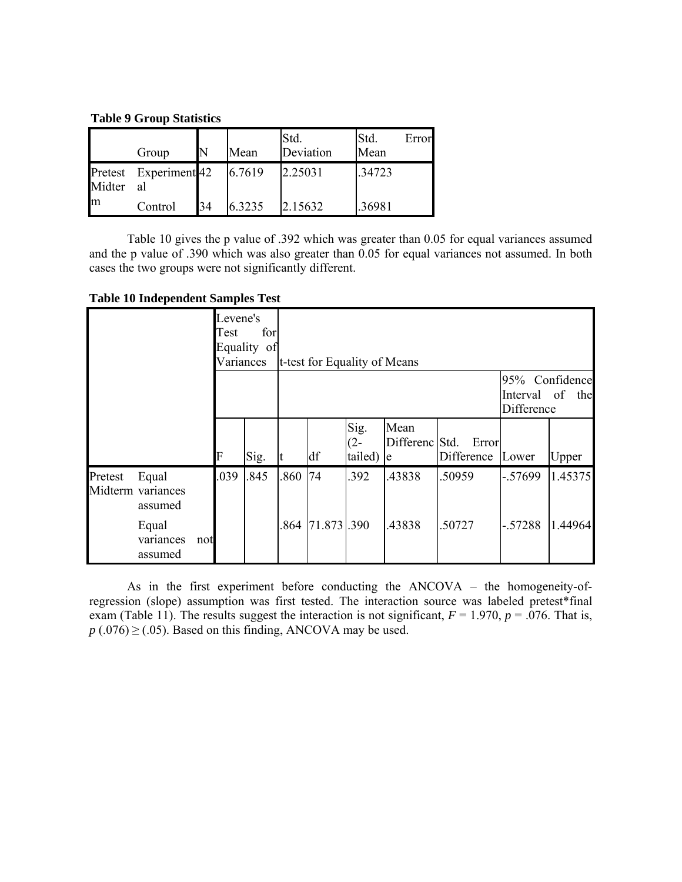**Table 9 Group Statistics**

|        | Group                       |    | Mean   | Std.<br>Deviation | Std.<br>Error<br>Mean |
|--------|-----------------------------|----|--------|-------------------|-----------------------|
| Midter | Pretest Experiment 42<br>al |    | 6.7619 | 2.25031           | .34723                |
| m      | Control                     | 34 | 6.3235 | 2.15632           | .36981                |

Table 10 gives the p value of .392 which was greater than 0.05 for equal variances assumed and the p value of .390 which was also greater than 0.05 for equal variances not assumed. In both cases the two groups were not significantly different.

|  |  | <b>Table 10 Independent Samples Test</b> |  |  |  |
|--|--|------------------------------------------|--|--|--|
|--|--|------------------------------------------|--|--|--|

|         |                                       |     | Levene's<br>Test<br>Variances | for<br>Equality of |      | t-test for Equality of Means |                           |                              |                     |                                                 |         |
|---------|---------------------------------------|-----|-------------------------------|--------------------|------|------------------------------|---------------------------|------------------------------|---------------------|-------------------------------------------------|---------|
|         |                                       |     |                               |                    |      |                              |                           |                              |                     | 95% Confidence<br>Interval of the<br>Difference |         |
|         |                                       |     | F                             | Sig.               |      | df                           | Sig.<br>$(2 -$<br>tailed) | Mean<br>Differenc Std.<br>le | Error<br>Difference | Lower                                           | Upper   |
| Pretest | Equal<br>Midterm variances<br>assumed |     | .039                          | .845               | .860 | 74                           | .392                      | .43838                       | .50959              | $-.57699$                                       | 1.45375 |
|         | Equal<br>variances<br>assumed         | not |                               |                    |      | 864 71.873 .390              |                           | .43838                       | .50727              | $-.57288$                                       | 1.44964 |

As in the first experiment before conducting the ANCOVA – the homogeneity-ofregression (slope) assumption was first tested. The interaction source was labeled pretest\*final exam (Table 11). The results suggest the interaction is not significant,  $F = 1.970$ ,  $p = .076$ . That is,  $p(.076) \geq (.05)$ . Based on this finding, ANCOVA may be used.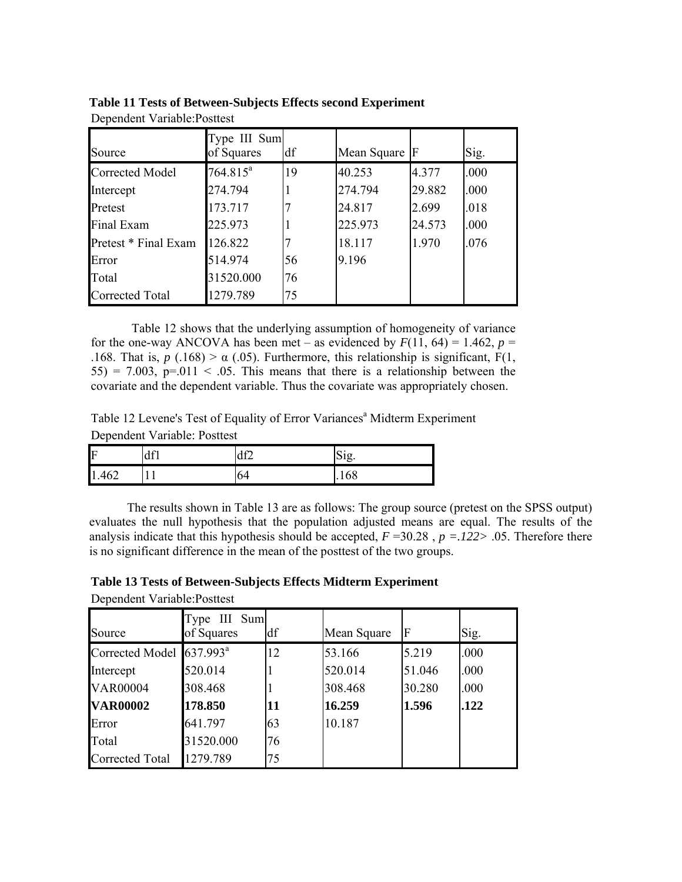| Source               | Type III Sum<br>of Squares | df | Mean Square F |        | Sig. |
|----------------------|----------------------------|----|---------------|--------|------|
|                      |                            |    |               |        |      |
| Corrected Model      | $764.815^a$                | 19 | 40.253        | 4.377  | .000 |
| Intercept            | 274.794                    |    | 274.794       | 29.882 | .000 |
| Pretest              | 173.717                    |    | 24.817        | 2.699  | .018 |
| Final Exam           | 225.973                    |    | 225.973       | 24.573 | .000 |
| Pretest * Final Exam | 126.822                    |    | 18.117        | 1.970  | .076 |
| Error                | 514.974                    | 56 | 9.196         |        |      |
| Total                | 31520.000                  | 76 |               |        |      |
| Corrected Total      | 1279.789                   | 75 |               |        |      |

**Table 11 Tests of Between-Subjects Effects second Experiment** Dependent Variable:Posttest

Table 12 shows that the underlying assumption of homogeneity of variance for the one-way ANCOVA has been met – as evidenced by  $F(11, 64) = 1.462$ ,  $p =$ .168. That is,  $p(.168) > \alpha(.05)$ . Furthermore, this relationship is significant, F(1,  $55$ ) = 7.003, p=.011 < .05. This means that there is a relationship between the covariate and the dependent variable. Thus the covariate was appropriately chosen.

Table 12 Levene's Test of Equality of Error Variances<sup>a</sup> Midterm Experiment

Dependent Variable: Posttest

| IF    | df1 | AF | $\sim$ $\cdot$<br>S12. |
|-------|-----|----|------------------------|
| 1.462 | 11  | 64 | .168                   |

The results shown in Table 13 are as follows: The group source (pretest on the SPSS output) evaluates the null hypothesis that the population adjusted means are equal. The results of the analysis indicate that this hypothesis should be accepted,  $F = 30.28$ ,  $p = .122 > .05$ . Therefore there is no significant difference in the mean of the posttest of the two groups.

Dependent Variable:Posttest

| Source                 | Type III Sum<br>of Squares | df | Mean Square | F      | Sig. |
|------------------------|----------------------------|----|-------------|--------|------|
| Corrected Model        | $637.993^a$                | 12 | 53.166      | 5.219  | .000 |
| Intercept              | 520.014                    |    | 520.014     | 51.046 | .000 |
| <b>VAR00004</b>        | 308.468                    |    | 308.468     | 30.280 | .000 |
| <b>VAR00002</b>        | 178.850                    | 11 | 16.259      | 1.596  | .122 |
| Error                  | 641.797                    | 63 | 10.187      |        |      |
| Total                  | 31520.000                  | 76 |             |        |      |
| <b>Corrected Total</b> | 1279.789                   | 75 |             |        |      |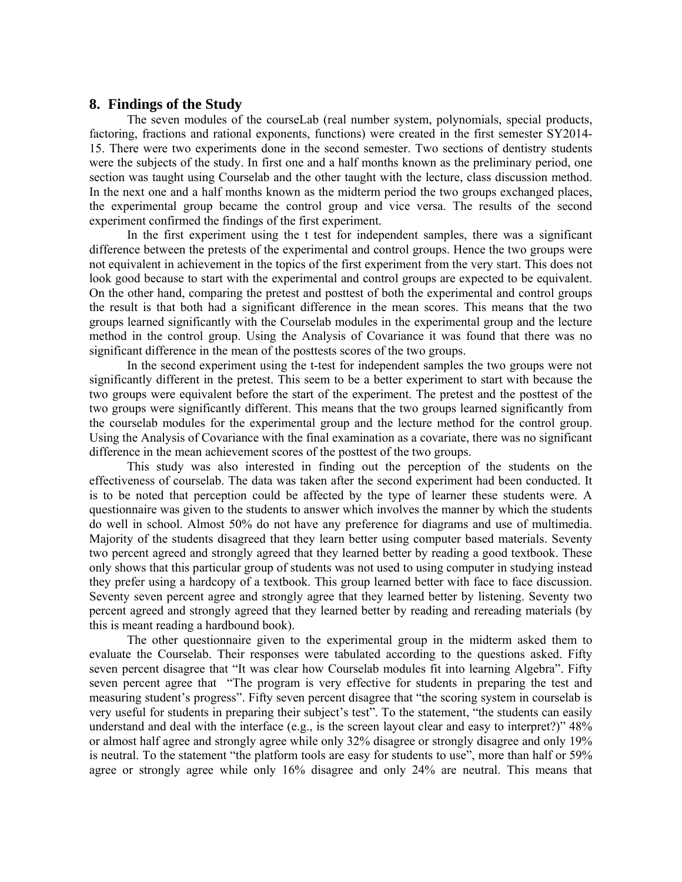#### **8. Findings of the Study**

The seven modules of the courseLab (real number system, polynomials, special products, factoring, fractions and rational exponents, functions) were created in the first semester SY2014- 15. There were two experiments done in the second semester. Two sections of dentistry students were the subjects of the study. In first one and a half months known as the preliminary period, one section was taught using Courselab and the other taught with the lecture, class discussion method. In the next one and a half months known as the midterm period the two groups exchanged places, the experimental group became the control group and vice versa. The results of the second experiment confirmed the findings of the first experiment.

In the first experiment using the t test for independent samples, there was a significant difference between the pretests of the experimental and control groups. Hence the two groups were not equivalent in achievement in the topics of the first experiment from the very start. This does not look good because to start with the experimental and control groups are expected to be equivalent. On the other hand, comparing the pretest and posttest of both the experimental and control groups the result is that both had a significant difference in the mean scores. This means that the two groups learned significantly with the Courselab modules in the experimental group and the lecture method in the control group. Using the Analysis of Covariance it was found that there was no significant difference in the mean of the posttests scores of the two groups.

In the second experiment using the t-test for independent samples the two groups were not significantly different in the pretest. This seem to be a better experiment to start with because the two groups were equivalent before the start of the experiment. The pretest and the posttest of the two groups were significantly different. This means that the two groups learned significantly from the courselab modules for the experimental group and the lecture method for the control group. Using the Analysis of Covariance with the final examination as a covariate, there was no significant difference in the mean achievement scores of the posttest of the two groups.

This study was also interested in finding out the perception of the students on the effectiveness of courselab. The data was taken after the second experiment had been conducted. It is to be noted that perception could be affected by the type of learner these students were. A questionnaire was given to the students to answer which involves the manner by which the students do well in school. Almost 50% do not have any preference for diagrams and use of multimedia. Majority of the students disagreed that they learn better using computer based materials. Seventy two percent agreed and strongly agreed that they learned better by reading a good textbook. These only shows that this particular group of students was not used to using computer in studying instead they prefer using a hardcopy of a textbook. This group learned better with face to face discussion. Seventy seven percent agree and strongly agree that they learned better by listening. Seventy two percent agreed and strongly agreed that they learned better by reading and rereading materials (by this is meant reading a hardbound book).

The other questionnaire given to the experimental group in the midterm asked them to evaluate the Courselab. Their responses were tabulated according to the questions asked. Fifty seven percent disagree that "It was clear how Courselab modules fit into learning Algebra". Fifty seven percent agree that "The program is very effective for students in preparing the test and measuring student's progress". Fifty seven percent disagree that "the scoring system in courselab is very useful for students in preparing their subject's test". To the statement, "the students can easily understand and deal with the interface (e.g., is the screen layout clear and easy to interpret?)" 48% or almost half agree and strongly agree while only 32% disagree or strongly disagree and only 19% is neutral. To the statement "the platform tools are easy for students to use", more than half or 59% agree or strongly agree while only 16% disagree and only 24% are neutral. This means that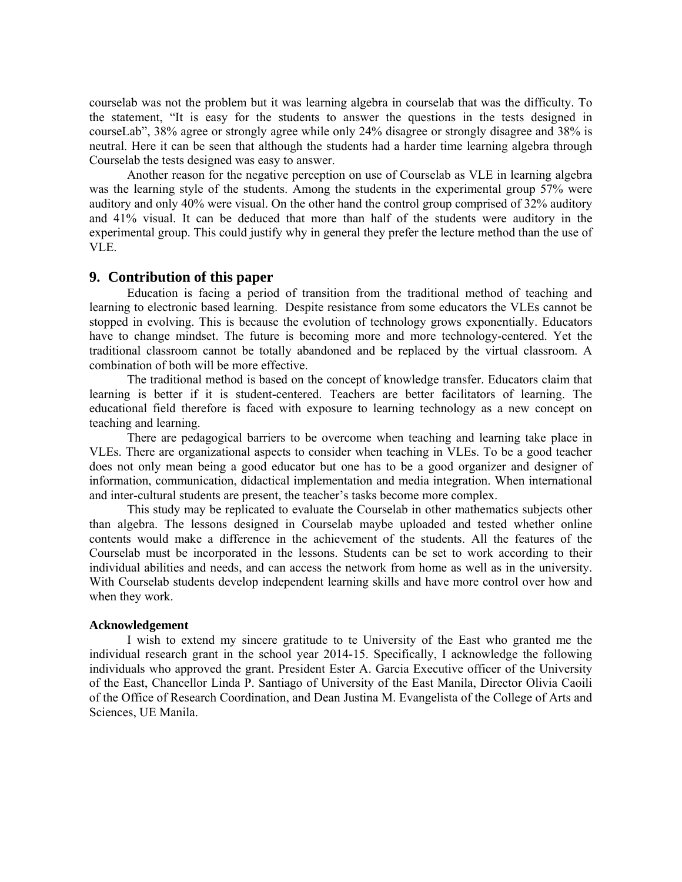courselab was not the problem but it was learning algebra in courselab that was the difficulty. To the statement, "It is easy for the students to answer the questions in the tests designed in courseLab", 38% agree or strongly agree while only 24% disagree or strongly disagree and 38% is neutral. Here it can be seen that although the students had a harder time learning algebra through Courselab the tests designed was easy to answer.

Another reason for the negative perception on use of Courselab as VLE in learning algebra was the learning style of the students. Among the students in the experimental group 57% were auditory and only 40% were visual. On the other hand the control group comprised of 32% auditory and 41% visual. It can be deduced that more than half of the students were auditory in the experimental group. This could justify why in general they prefer the lecture method than the use of VLE.

#### **9. Contribution of this paper**

Education is facing a period of transition from the traditional method of teaching and learning to electronic based learning. Despite resistance from some educators the VLEs cannot be stopped in evolving. This is because the evolution of technology grows exponentially. Educators have to change mindset. The future is becoming more and more technology-centered. Yet the traditional classroom cannot be totally abandoned and be replaced by the virtual classroom. A combination of both will be more effective.

The traditional method is based on the concept of knowledge transfer. Educators claim that learning is better if it is student-centered. Teachers are better facilitators of learning. The educational field therefore is faced with exposure to learning technology as a new concept on teaching and learning.

There are pedagogical barriers to be overcome when teaching and learning take place in VLEs. There are organizational aspects to consider when teaching in VLEs. To be a good teacher does not only mean being a good educator but one has to be a good organizer and designer of information, communication, didactical implementation and media integration. When international and inter-cultural students are present, the teacher's tasks become more complex.

This study may be replicated to evaluate the Courselab in other mathematics subjects other than algebra. The lessons designed in Courselab maybe uploaded and tested whether online contents would make a difference in the achievement of the students. All the features of the Courselab must be incorporated in the lessons. Students can be set to work according to their individual abilities and needs, and can access the network from home as well as in the university. With Courselab students develop independent learning skills and have more control over how and when they work.

#### **Acknowledgement**

I wish to extend my sincere gratitude to te University of the East who granted me the individual research grant in the school year 2014-15. Specifically, I acknowledge the following individuals who approved the grant. President Ester A. Garcia Executive officer of the University of the East, Chancellor Linda P. Santiago of University of the East Manila, Director Olivia Caoili of the Office of Research Coordination, and Dean Justina M. Evangelista of the College of Arts and Sciences, UE Manila.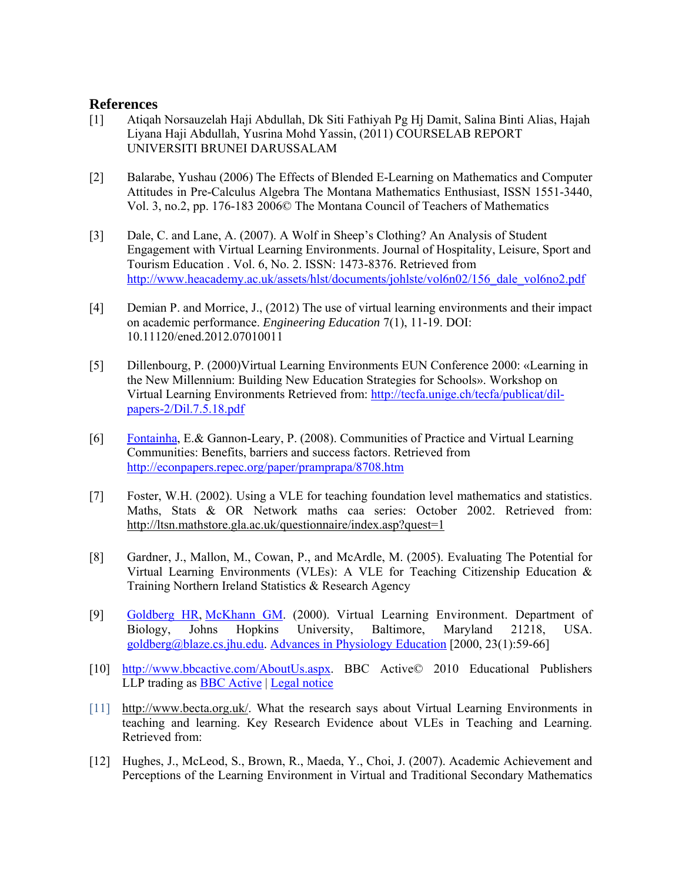## **References**

- [1] Atiqah Norsauzelah Haji Abdullah, Dk Siti Fathiyah Pg Hj Damit, Salina Binti Alias, Hajah Liyana Haji Abdullah, Yusrina Mohd Yassin, (2011) COURSELAB REPORT UNIVERSITI BRUNEI DARUSSALAM
- [2] Balarabe, Yushau (2006) The Effects of Blended E-Learning on Mathematics and Computer Attitudes in Pre-Calculus Algebra The Montana Mathematics Enthusiast, ISSN 1551-3440, Vol. 3, no.2, pp. 176-183 2006© The Montana Council of Teachers of Mathematics
- [3] Dale, C. and Lane, A. (2007). A Wolf in Sheep's Clothing? An Analysis of Student Engagement with Virtual Learning Environments. Journal of Hospitality, Leisure, Sport and Tourism Education . Vol. 6, No. 2. ISSN: 1473-8376. Retrieved from http://www.heacademy.ac.uk/assets/hlst/documents/johlste/vol6n02/156\_dale\_vol6no2.pdf
- [4] Demian P. and Morrice, J., (2012) The use of virtual learning environments and their impact on academic performance. *Engineering Education* 7(1), 11-19. DOI: 10.11120/ened.2012.07010011
- [5] Dillenbourg, P. (2000)Virtual Learning Environments EUN Conference 2000: «Learning in the New Millennium: Building New Education Strategies for Schools». Workshop on Virtual Learning Environments Retrieved from: http://tecfa.unige.ch/tecfa/publicat/dilpapers-2/Dil.7.5.18.pdf
- [6] Fontainha, E.& Gannon-Leary, P. (2008). Communities of Practice and Virtual Learning Communities: Benefits, barriers and success factors. Retrieved from http://econpapers.repec.org/paper/pramprapa/8708.htm
- [7] Foster, W.H. (2002). Using a VLE for teaching foundation level mathematics and statistics. Maths, Stats & OR Network maths caa series: October 2002. Retrieved from: http://ltsn.mathstore.gla.ac.uk/questionnaire/index.asp?quest=1
- [8] Gardner, J., Mallon, M., Cowan, P., and McArdle, M. (2005). Evaluating The Potential for Virtual Learning Environments (VLEs): A VLE for Teaching Citizenship Education & Training Northern Ireland Statistics & Research Agency
- [9] Goldberg HR, McKhann GM. (2000). Virtual Learning Environment. Department of Biology, Johns Hopkins University, Baltimore, Maryland 21218, USA. goldberg@blaze.cs.jhu.edu. Advances in Physiology Education [2000, 23(1):59-66]
- [10] http://www.bbcactive.com/AboutUs.aspx. BBC Active© 2010 Educational Publishers LLP trading as **BBC** Active | Legal notice
- [11] http://www.becta.org.uk/. What the research says about Virtual Learning Environments in teaching and learning. Key Research Evidence about VLEs in Teaching and Learning. Retrieved from:
- [12] Hughes, J., McLeod, S., Brown, R., Maeda, Y., Choi, J. (2007). Academic Achievement and Perceptions of the Learning Environment in Virtual and Traditional Secondary Mathematics